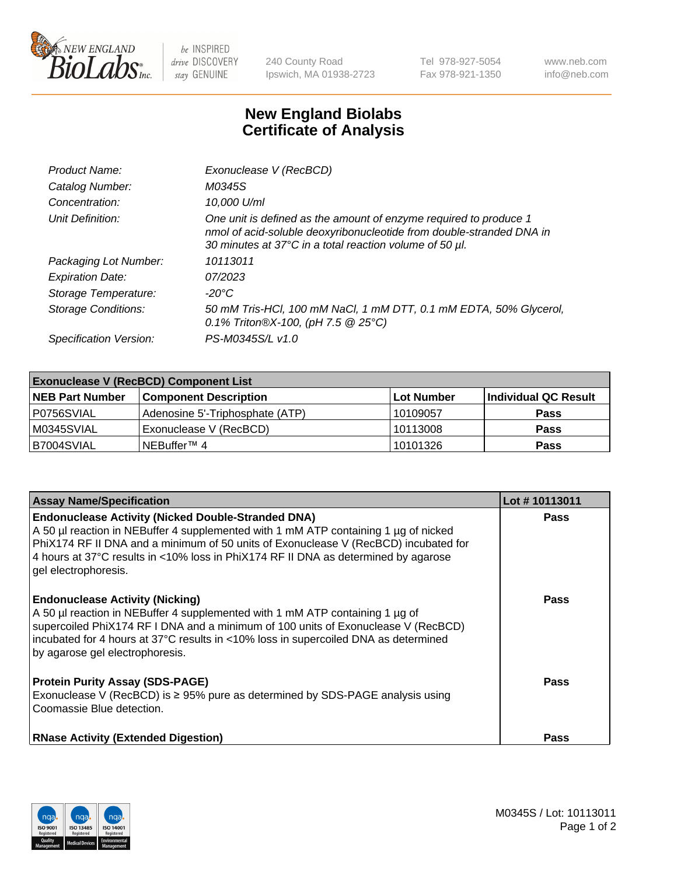

 $be$  INSPIRED drive DISCOVERY stay GENUINE

240 County Road Ipswich, MA 01938-2723 Tel 978-927-5054 Fax 978-921-1350 www.neb.com info@neb.com

## **New England Biolabs Certificate of Analysis**

| Product Name:              | Exonuclease V (RecBCD)                                                                                                                                                                               |
|----------------------------|------------------------------------------------------------------------------------------------------------------------------------------------------------------------------------------------------|
| Catalog Number:            | M0345S                                                                                                                                                                                               |
| Concentration:             | 10,000 U/ml                                                                                                                                                                                          |
| Unit Definition:           | One unit is defined as the amount of enzyme required to produce 1<br>nmol of acid-soluble deoxyribonucleotide from double-stranded DNA in<br>30 minutes at 37°C in a total reaction volume of 50 µl. |
| Packaging Lot Number:      | 10113011                                                                                                                                                                                             |
| <b>Expiration Date:</b>    | 07/2023                                                                                                                                                                                              |
| Storage Temperature:       | -20°C                                                                                                                                                                                                |
| <b>Storage Conditions:</b> | 50 mM Tris-HCl, 100 mM NaCl, 1 mM DTT, 0.1 mM EDTA, 50% Glycerol,<br>0.1% Triton®X-100, (pH 7.5 $@25°C$ )                                                                                            |
| Specification Version:     | PS-M0345S/L v1.0                                                                                                                                                                                     |

| <b>Exonuclease V (RecBCD) Component List</b> |                                 |                   |                      |  |
|----------------------------------------------|---------------------------------|-------------------|----------------------|--|
| <b>NEB Part Number</b>                       | <b>Component Description</b>    | <b>Lot Number</b> | Individual QC Result |  |
| P0756SVIAL                                   | Adenosine 5'-Triphosphate (ATP) | 10109057          | <b>Pass</b>          |  |
| M0345SVIAL                                   | Exonuclease V (RecBCD)          | 10113008          | <b>Pass</b>          |  |
| B7004SVIAL                                   | INEBuffer™ 4                    | 10101326          | <b>Pass</b>          |  |

| <b>Assay Name/Specification</b>                                                                                                                                                                                                                                                                                                                       | Lot #10113011 |
|-------------------------------------------------------------------------------------------------------------------------------------------------------------------------------------------------------------------------------------------------------------------------------------------------------------------------------------------------------|---------------|
| <b>Endonuclease Activity (Nicked Double-Stranded DNA)</b><br>A 50 µl reaction in NEBuffer 4 supplemented with 1 mM ATP containing 1 µg of nicked<br>PhiX174 RF II DNA and a minimum of 50 units of Exonuclease V (RecBCD) incubated for<br>4 hours at 37°C results in <10% loss in PhiX174 RF II DNA as determined by agarose<br>gel electrophoresis. | <b>Pass</b>   |
| <b>Endonuclease Activity (Nicking)</b><br>A 50 µl reaction in NEBuffer 4 supplemented with 1 mM ATP containing 1 µg of<br>supercoiled PhiX174 RF I DNA and a minimum of 100 units of Exonuclease V (RecBCD)<br>incubated for 4 hours at 37°C results in <10% loss in supercoiled DNA as determined<br>by agarose gel electrophoresis.                 | <b>Pass</b>   |
| <b>Protein Purity Assay (SDS-PAGE)</b><br>Exonuclease V (RecBCD) is $\geq$ 95% pure as determined by SDS-PAGE analysis using<br>Coomassie Blue detection.                                                                                                                                                                                             | <b>Pass</b>   |
| <b>RNase Activity (Extended Digestion)</b>                                                                                                                                                                                                                                                                                                            | <b>Pass</b>   |